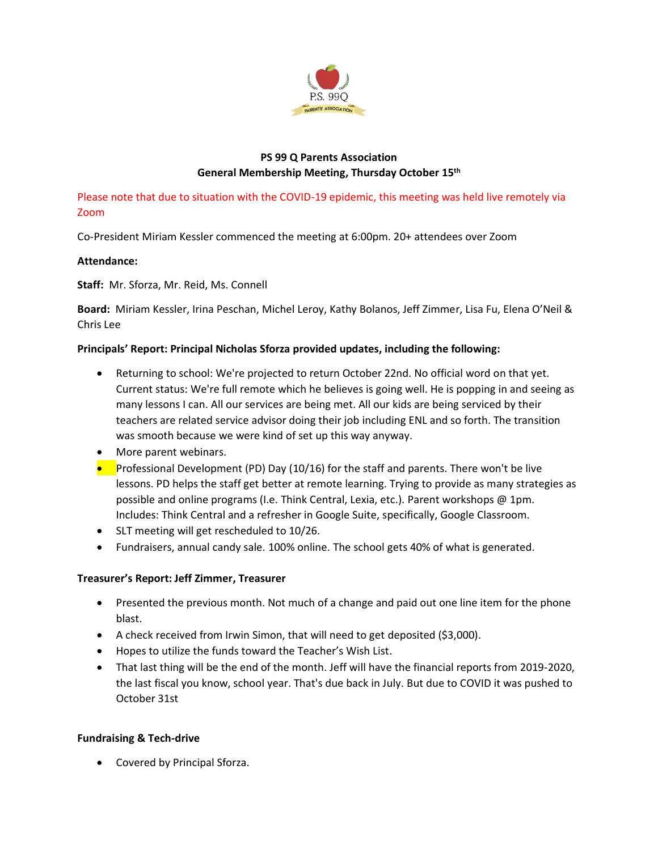

# **PS 99 Q Parents Association General Membership Meeting, Thursday October 15th**

Please note that due to situation with the COVID-19 epidemic, this meeting was held live remotely via Zoom

Co-President Miriam Kessler commenced the meeting at 6:00pm. 20+ attendees over Zoom

## **Attendance:**

## **Staff:** Mr. Sforza, Mr. Reid, Ms. Connell

**Board:** Miriam Kessler, Irina Peschan, Michel Leroy, Kathy Bolanos, Jeff Zimmer, Lisa Fu, Elena O'Neil & Chris Lee

# **Principals' Report: Principal Nicholas Sforza provided updates, including the following:**

- Returning to school: We're projected to return October 22nd. No official word on that yet. Current status: We're full remote which he believes is going well. He is popping in and seeing as many lessons I can. All our services are being met. All our kids are being serviced by their teachers are related service advisor doing their job including ENL and so forth. The transition was smooth because we were kind of set up this way anyway.
- More parent webinars.
- Professional Development (PD) Day (10/16) for the staff and parents. There won't be live lessons. PD helps the staff get better at remote learning. Trying to provide as many strategies as possible and online programs (I.e. Think Central, Lexia, etc.). Parent workshops @ 1pm. Includes: Think Central and a refresher in Google Suite, specifically, Google Classroom.
- SLT meeting will get rescheduled to 10/26.
- Fundraisers, annual candy sale. 100% online. The school gets 40% of what is generated.

# **Treasurer's Report: Jeff Zimmer, Treasurer**

- Presented the previous month. Not much of a change and paid out one line item for the phone blast.
- A check received from Irwin Simon, that will need to get deposited (\$3,000).
- Hopes to utilize the funds toward the Teacher's Wish List.
- That last thing will be the end of the month. Jeff will have the financial reports from 2019-2020, the last fiscal you know, school year. That's due back in July. But due to COVID it was pushed to October 31st

## **Fundraising & Tech-drive**

• Covered by Principal Sforza.